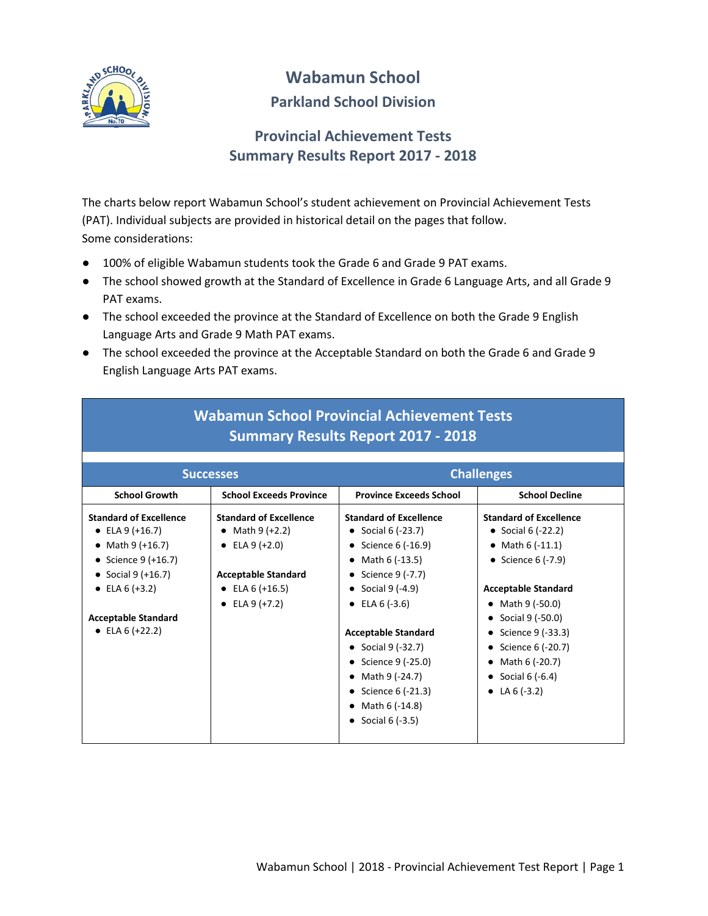

# **Wabamun School**

#### **Parkland School Division**

### **Provincial Achievement Tests Summary Results Report 2017 - 2018**

The charts below report Wabamun School's student achievement on Provincial Achievement Tests (PAT). Individual subjects are provided in historical detail on the pages that follow. Some considerations:

- 100% of eligible Wabamun students took the Grade 6 and Grade 9 PAT exams.
- The school showed growth at the Standard of Excellence in Grade 6 Language Arts, and all Grade 9 PAT exams.
- The school exceeded the province at the Standard of Excellence on both the Grade 9 English Language Arts and Grade 9 Math PAT exams.
- The school exceeded the province at the Acceptable Standard on both the Grade 6 and Grade 9 English Language Arts PAT exams.

|                                                                                                                                                                                                  | <b>Successes</b>                                                                                                                              | <b>Challenges</b>                                                                                                                                                                                                                                                                                                                                     |                                                                                                                                                                                                                                                                                                |  |  |  |  |  |  |
|--------------------------------------------------------------------------------------------------------------------------------------------------------------------------------------------------|-----------------------------------------------------------------------------------------------------------------------------------------------|-------------------------------------------------------------------------------------------------------------------------------------------------------------------------------------------------------------------------------------------------------------------------------------------------------------------------------------------------------|------------------------------------------------------------------------------------------------------------------------------------------------------------------------------------------------------------------------------------------------------------------------------------------------|--|--|--|--|--|--|
| <b>School Growth</b>                                                                                                                                                                             | <b>School Exceeds Province</b>                                                                                                                | <b>Province Exceeds School</b>                                                                                                                                                                                                                                                                                                                        | <b>School Decline</b>                                                                                                                                                                                                                                                                          |  |  |  |  |  |  |
| <b>Standard of Excellence</b><br>• ELA $9 (+16.7)$<br>• Math $9 (+16.7)$<br>• Science $9 (+16.7)$<br>• Social 9 $(+16.7)$<br>• ELA $6 (+3.2)$<br><b>Acceptable Standard</b><br>• ELA $6 (+22.2)$ | <b>Standard of Excellence</b><br>• Math $9 (+2.2)$<br>• ELA $9 (+2.0)$<br><b>Acceptable Standard</b><br>• ELA $6 (+16.5)$<br>• ELA $9 (+7.2)$ | <b>Standard of Excellence</b><br>• Social $6$ (-23.7)<br>Science 6 (-16.9)<br>$\bullet$<br>Math 6 (-13.5)<br>٠<br>• Science $9(-7.7)$<br>• Social $9(-4.9)$<br>• ELA $6(-3.6)$<br><b>Acceptable Standard</b><br>• Social $9$ (-32.7)<br>• Science $9$ (-25.0)<br>• Math $9$ (-24.7)<br>• Science $6$ (-21.3)<br>Math 6 (-14.8)<br>• Social 6 $(-3.5)$ | <b>Standard of Excellence</b><br>• Social 6 $(-22.2)$<br>• Math $6(-11.1)$<br>• Science $6$ (-7.9)<br><b>Acceptable Standard</b><br>• Math $9$ (-50.0)<br>• Social $9$ (-50.0)<br>• Science $9(-33.3)$<br>• Science $6$ (-20.7)<br>Math 6 (-20.7)<br>٠<br>• Social $6(-6.4)$<br>• LA $6(-3.2)$ |  |  |  |  |  |  |

## **Wabamun School Provincial Achievement Tests Summary Results Report 2017 - 2018**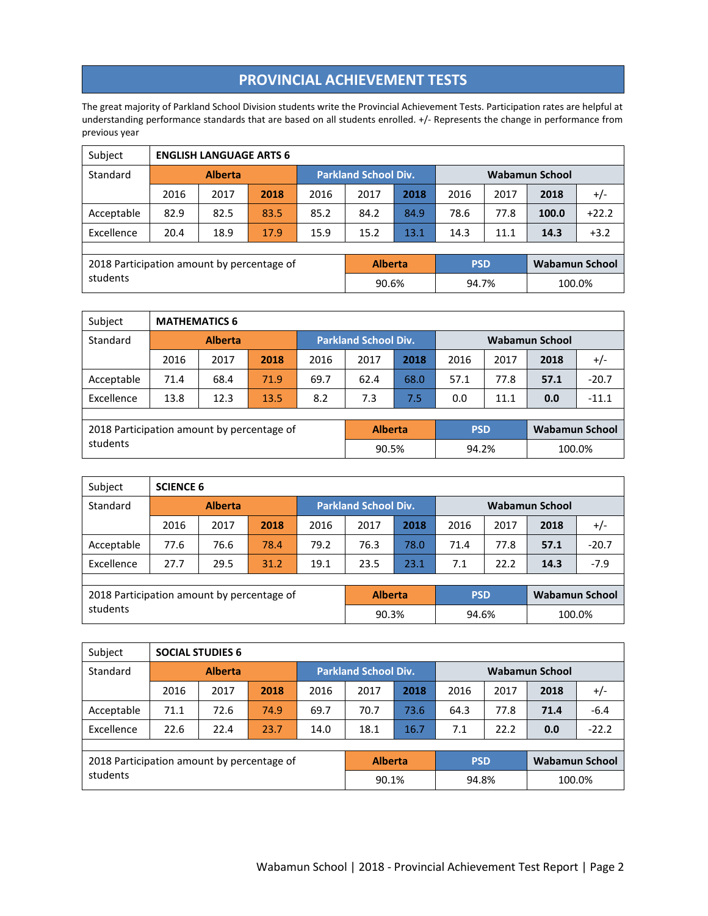#### **PROVINCIAL ACHIEVEMENT TESTS**

The great majority of Parkland School Division students write the Provincial Achievement Tests. Participation rates are helpful at understanding performance standards that are based on all students enrolled. +/- Represents the change in performance from previous year

| Subject                                    |                | <b>ENGLISH LANGUAGE ARTS 6</b> |      |      |                             |      |            |                       |                |         |  |  |  |
|--------------------------------------------|----------------|--------------------------------|------|------|-----------------------------|------|------------|-----------------------|----------------|---------|--|--|--|
| Standard                                   | <b>Alberta</b> |                                |      |      | <b>Parkland School Div.</b> |      |            | <b>Wabamun School</b> |                |         |  |  |  |
|                                            | 2016           | 2017                           | 2018 | 2016 | 2017                        | 2018 | 2016       | 2017                  | 2018           | $+/-$   |  |  |  |
| Acceptable                                 | 82.9           | 82.5                           | 83.5 | 85.2 | 84.2                        | 84.9 | 78.6       | 77.8                  | 100.0          | $+22.2$ |  |  |  |
| Excellence                                 | 20.4           | 18.9                           | 17.9 | 15.9 | 15.2                        | 13.1 | 14.3       | 11.1                  | 14.3           | $+3.2$  |  |  |  |
|                                            |                |                                |      |      |                             |      |            |                       |                |         |  |  |  |
| 2018 Participation amount by percentage of |                |                                |      |      | <b>Alberta</b>              |      | <b>PSD</b> |                       | Wabamun School |         |  |  |  |
| students                                   |                |                                |      |      | 90.6%                       |      | 94.7%      |                       | 100.0%         |         |  |  |  |

| Subject                                    | <b>MATHEMATICS 6</b> |                |      |                             |                |      |                |      |                       |         |
|--------------------------------------------|----------------------|----------------|------|-----------------------------|----------------|------|----------------|------|-----------------------|---------|
| Standard                                   |                      | <b>Alberta</b> |      | <b>Parkland School Div.</b> |                |      | Wabamun School |      |                       |         |
|                                            | 2016                 | 2017           | 2018 | 2016                        | 2017           | 2018 | 2016           | 2017 | 2018                  | $+/-$   |
| Acceptable                                 | 71.4                 | 68.4           | 71.9 | 69.7                        | 62.4           | 68.0 | 57.1           | 77.8 | 57.1                  | $-20.7$ |
| Excellence                                 | 13.8                 | 12.3           | 13.5 | 8.2                         | 7.3            | 7.5  | 0.0            | 11.1 | 0.0                   | $-11.1$ |
|                                            |                      |                |      |                             |                |      |                |      |                       |         |
| 2018 Participation amount by percentage of |                      |                |      |                             | <b>Alberta</b> |      | <b>PSD</b>     |      | <b>Wabamun School</b> |         |
| students                                   |                      |                |      |                             | 90.5%          |      | 94.2%          |      | 100.0%                |         |

| Subject                                    | <b>SCIENCE 6</b> |      |      |      |                             |      |            |                       |                       |         |  |
|--------------------------------------------|------------------|------|------|------|-----------------------------|------|------------|-----------------------|-----------------------|---------|--|
| Standard                                   | <b>Alberta</b>   |      |      |      | <b>Parkland School Div.</b> |      |            | <b>Wabamun School</b> |                       |         |  |
|                                            | 2016             | 2017 | 2018 | 2016 | 2017                        | 2018 | 2016       | 2017                  | 2018                  | $+/-$   |  |
| Acceptable                                 | 77.6             | 76.6 | 78.4 | 79.2 | 76.3                        | 78.0 | 71.4       | 77.8                  | 57.1                  | $-20.7$ |  |
| Excellence                                 | 27.7             | 29.5 | 31.2 | 19.1 | 23.5                        | 23.1 | 7.1        | 22.2                  | 14.3                  | $-7.9$  |  |
|                                            |                  |      |      |      |                             |      |            |                       |                       |         |  |
| 2018 Participation amount by percentage of |                  |      |      |      | <b>Alberta</b>              |      | <b>PSD</b> |                       | <b>Wabamun School</b> |         |  |
| students                                   |                  |      |      |      | 90.3%                       |      | 94.6%      |                       | 100.0%                |         |  |

| Subject                                    |                | <b>SOCIAL STUDIES 6</b> |      |      |                             |      |            |                |                       |         |  |  |
|--------------------------------------------|----------------|-------------------------|------|------|-----------------------------|------|------------|----------------|-----------------------|---------|--|--|
| Standard                                   | <b>Alberta</b> |                         |      |      | <b>Parkland School Div.</b> |      |            | Wabamun School |                       |         |  |  |
|                                            | 2016           | 2017                    | 2018 | 2016 | 2017                        | 2018 | 2016       | 2017           | 2018                  | $+/-$   |  |  |
| Acceptable                                 | 71.1           | 72.6                    | 74.9 | 69.7 | 70.7                        | 73.6 | 64.3       | 77.8           | 71.4                  | $-6.4$  |  |  |
| Excellence                                 | 22.6           | 22.4                    | 23.7 | 14.0 | 18.1                        | 16.7 | 7.1        | 22.2           | 0.0                   | $-22.2$ |  |  |
|                                            |                |                         |      |      |                             |      |            |                |                       |         |  |  |
| 2018 Participation amount by percentage of |                |                         |      |      | <b>Alberta</b>              |      | <b>PSD</b> |                | <b>Wabamun School</b> |         |  |  |
| students                                   |                |                         |      |      | 90.1%                       |      | 94.8%      |                | 100.0%                |         |  |  |